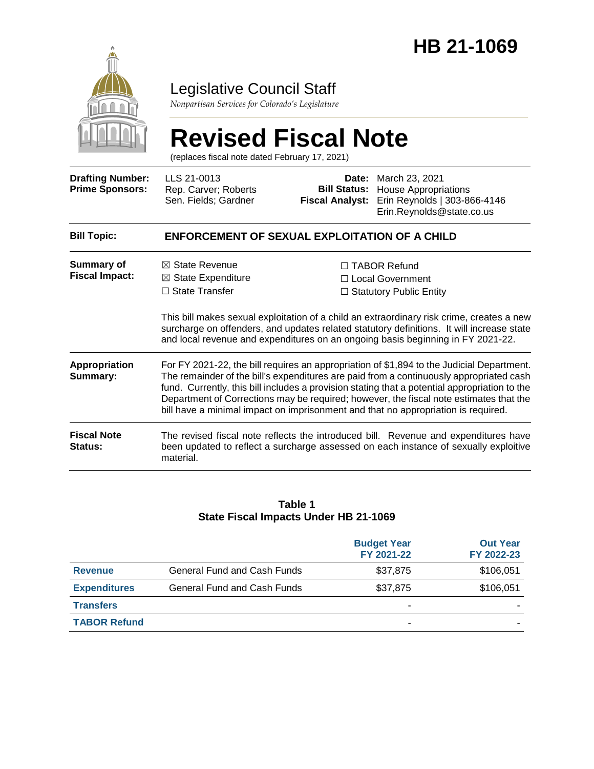

### Legislative Council Staff

*Nonpartisan Services for Colorado's Legislature*

# **Revised Fiscal Note**

(replaces fiscal note dated February 17, 2021)

| <b>Drafting Number:</b><br><b>Prime Sponsors:</b> | LLS 21-0013<br>Rep. Carver; Roberts<br>Sen. Fields; Gardner                                                                                                                                                                                                                                                                                                                                                                                                          | <b>Bill Status:</b><br><b>Fiscal Analyst:</b> | Date: March 23, 2021<br><b>House Appropriations</b><br>Erin Reynolds   303-866-4146<br>Erin.Reynolds@state.co.us                                                            |  |
|---------------------------------------------------|----------------------------------------------------------------------------------------------------------------------------------------------------------------------------------------------------------------------------------------------------------------------------------------------------------------------------------------------------------------------------------------------------------------------------------------------------------------------|-----------------------------------------------|-----------------------------------------------------------------------------------------------------------------------------------------------------------------------------|--|
| <b>Bill Topic:</b>                                | <b>ENFORCEMENT OF SEXUAL EXPLOITATION OF A CHILD</b>                                                                                                                                                                                                                                                                                                                                                                                                                 |                                               |                                                                                                                                                                             |  |
| Summary of<br><b>Fiscal Impact:</b>               | $\boxtimes$ State Revenue<br>$\boxtimes$ State Expenditure                                                                                                                                                                                                                                                                                                                                                                                                           |                                               | $\Box$ TABOR Refund<br>$\Box$ Local Government                                                                                                                              |  |
|                                                   | $\Box$ State Transfer                                                                                                                                                                                                                                                                                                                                                                                                                                                |                                               | $\Box$ Statutory Public Entity                                                                                                                                              |  |
|                                                   | This bill makes sexual exploitation of a child an extraordinary risk crime, creates a new<br>surcharge on offenders, and updates related statutory definitions. It will increase state<br>and local revenue and expenditures on an ongoing basis beginning in FY 2021-22.                                                                                                                                                                                            |                                               |                                                                                                                                                                             |  |
| <b>Appropriation</b><br>Summary:                  | For FY 2021-22, the bill requires an appropriation of \$1,894 to the Judicial Department.<br>The remainder of the bill's expenditures are paid from a continuously appropriated cash<br>fund. Currently, this bill includes a provision stating that a potential appropriation to the<br>Department of Corrections may be required; however, the fiscal note estimates that the<br>bill have a minimal impact on imprisonment and that no appropriation is required. |                                               |                                                                                                                                                                             |  |
| <b>Fiscal Note</b><br><b>Status:</b>              | material.                                                                                                                                                                                                                                                                                                                                                                                                                                                            |                                               | The revised fiscal note reflects the introduced bill. Revenue and expenditures have<br>been updated to reflect a surcharge assessed on each instance of sexually exploitive |  |

#### **Table 1 State Fiscal Impacts Under HB 21-1069**

|                     |                             | <b>Budget Year</b><br>FY 2021-22 | <b>Out Year</b><br>FY 2022-23 |
|---------------------|-----------------------------|----------------------------------|-------------------------------|
| <b>Revenue</b>      | General Fund and Cash Funds | \$37,875                         | \$106,051                     |
| <b>Expenditures</b> | General Fund and Cash Funds | \$37,875                         | \$106,051                     |
| <b>Transfers</b>    |                             |                                  |                               |
| <b>TABOR Refund</b> |                             |                                  |                               |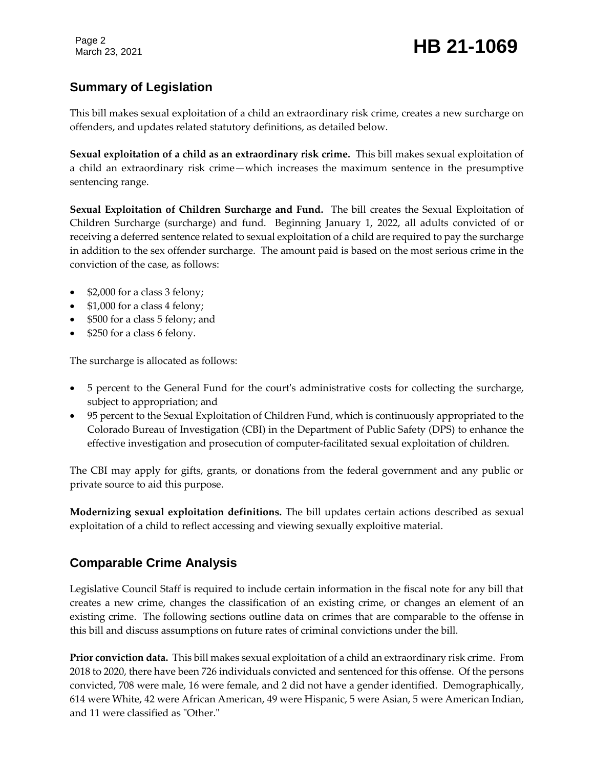Page 2

#### **Summary of Legislation**

This bill makes sexual exploitation of a child an extraordinary risk crime, creates a new surcharge on offenders, and updates related statutory definitions, as detailed below.

**Sexual exploitation of a child as an extraordinary risk crime.** This bill makes sexual exploitation of a child an extraordinary risk crime—which increases the maximum sentence in the presumptive sentencing range.

**Sexual Exploitation of Children Surcharge and Fund.** The bill creates the Sexual Exploitation of Children Surcharge (surcharge) and fund. Beginning January 1, 2022, all adults convicted of or receiving a deferred sentence related to sexual exploitation of a child are required to pay the surcharge in addition to the sex offender surcharge. The amount paid is based on the most serious crime in the conviction of the case, as follows:

- \$2,000 for a class 3 felony;
- \$1,000 for a class 4 felony;
- \$500 for a class 5 felony; and
- \$250 for a class 6 felony.

The surcharge is allocated as follows:

- 5 percent to the General Fund for the court's administrative costs for collecting the surcharge, subject to appropriation; and
- 95 percent to the Sexual Exploitation of Children Fund, which is continuously appropriated to the Colorado Bureau of Investigation (CBI) in the Department of Public Safety (DPS) to enhance the effective investigation and prosecution of computer-facilitated sexual exploitation of children.

The CBI may apply for gifts, grants, or donations from the federal government and any public or private source to aid this purpose.

**Modernizing sexual exploitation definitions.** The bill updates certain actions described as sexual exploitation of a child to reflect accessing and viewing sexually exploitive material.

#### **Comparable Crime Analysis**

Legislative Council Staff is required to include certain information in the fiscal note for any bill that creates a new crime, changes the classification of an existing crime, or changes an element of an existing crime. The following sections outline data on crimes that are comparable to the offense in this bill and discuss assumptions on future rates of criminal convictions under the bill.

**Prior conviction data.** This bill makes sexual exploitation of a child an extraordinary risk crime. From 2018 to 2020, there have been 726 individuals convicted and sentenced for this offense. Of the persons convicted, 708 were male, 16 were female, and 2 did not have a gender identified. Demographically, 614 were White, 42 were African American, 49 were Hispanic, 5 were Asian, 5 were American Indian, and 11 were classified as "Other."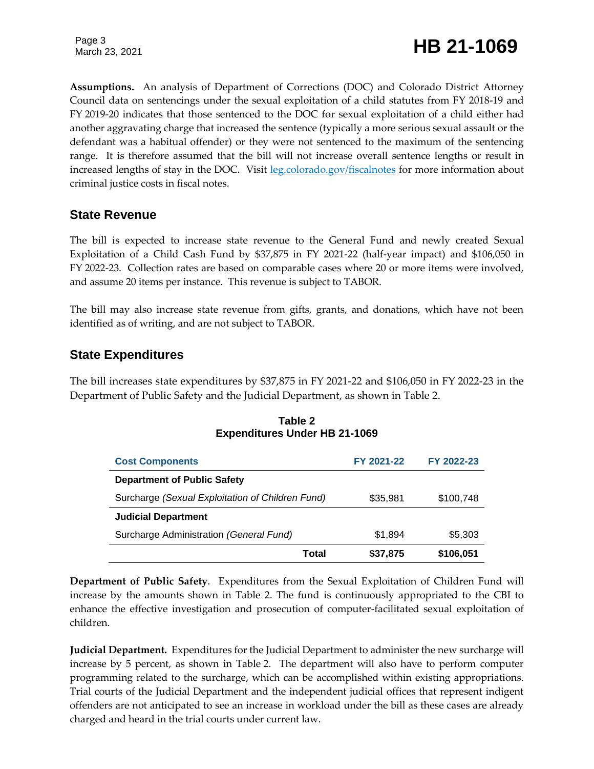Page 3

## Page 3<br>March 23, 2021 **HB** 21-1069

**Assumptions.** An analysis of Department of Corrections (DOC) and Colorado District Attorney Council data on sentencings under the sexual exploitation of a child statutes from FY 2018-19 and FY 2019-20 indicates that those sentenced to the DOC for sexual exploitation of a child either had another aggravating charge that increased the sentence (typically a more serious sexual assault or the defendant was a habitual offender) or they were not sentenced to the maximum of the sentencing range. It is therefore assumed that the bill will not increase overall sentence lengths or result in increased lengths of stay in the DOC. Visit [leg.colorado.gov/fiscalnotes](https://leg.colorado.gov/fiscalnotes) for more information about criminal justice costs in fiscal notes.

#### **State Revenue**

The bill is expected to increase state revenue to the General Fund and newly created Sexual Exploitation of a Child Cash Fund by \$37,875 in FY 2021-22 (half-year impact) and \$106,050 in FY 2022-23. Collection rates are based on comparable cases where 20 or more items were involved, and assume 20 items per instance. This revenue is subject to TABOR.

The bill may also increase state revenue from gifts, grants, and donations, which have not been identified as of writing, and are not subject to TABOR.

#### **State Expenditures**

The bill increases state expenditures by \$37,875 in FY 2021-22 and \$106,050 in FY 2022-23 in the Department of Public Safety and the Judicial Department, as shown in Table 2.

| <b>Cost Components</b>                           |       | FY 2021-22 | FY 2022-23 |
|--------------------------------------------------|-------|------------|------------|
| <b>Department of Public Safety</b>               |       |            |            |
| Surcharge (Sexual Exploitation of Children Fund) |       | \$35,981   | \$100,748  |
| <b>Judicial Department</b>                       |       |            |            |
| Surcharge Administration (General Fund)          |       | \$1,894    | \$5,303    |
|                                                  | Total | \$37,875   | \$106,051  |

#### **Table 2 Expenditures Under HB 21-1069**

**Department of Public Safety**. Expenditures from the Sexual Exploitation of Children Fund will increase by the amounts shown in Table 2. The fund is continuously appropriated to the CBI to enhance the effective investigation and prosecution of computer-facilitated sexual exploitation of children.

**Judicial Department.** Expenditures for the Judicial Department to administer the new surcharge will increase by 5 percent, as shown in Table 2. The department will also have to perform computer programming related to the surcharge, which can be accomplished within existing appropriations. Trial courts of the Judicial Department and the independent judicial offices that represent indigent offenders are not anticipated to see an increase in workload under the bill as these cases are already charged and heard in the trial courts under current law.